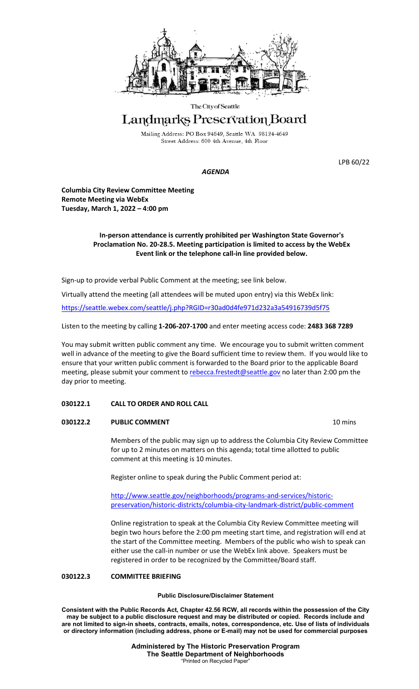

#### The City of Seattle

# Landmarks Preservation Board

Mailing Address: PO Box 94649, Seattle WA 98124-4649 Street Address: 600 4th Avenue, 4th Floor

LPB 60/22

## *AGENDA*

**Columbia City Review Committee Meeting Remote Meeting via WebEx Tuesday, March 1, 2022 – 4:00 pm**

# **In-person attendance is currently prohibited per Washington State Governor's Proclamation No. 20-28.5. Meeting participation is limited to access by the WebEx Event link or the telephone call-in line provided below.**

Sign-up to provide verbal Public Comment at the meeting; see link below.

Virtually attend the meeting (all attendees will be muted upon entry) via this WebEx link:

<https://seattle.webex.com/seattle/j.php?RGID=r30ad0d4fe971d232a3a54916739d5f75>

Listen to the meeting by calling **1-206-207-1700** and enter meeting access code: **2483 368 7289**

You may submit written public comment any time. We encourage you to submit written comment well in advance of the meeting to give the Board sufficient time to review them. If you would like to ensure that your written public comment is forwarded to the Board prior to the applicable Board meeting, please submit your comment to [rebecca.frestedt@seattle.gov](mailto:rebecca.frestedt@seattle.gov) no later than 2:00 pm the day prior to meeting.

## **030122.1 CALL TO ORDER AND ROLL CALL**

## **030122.2 PUBLIC COMMENT 10 mins**

Members of the public may sign up to address the Columbia City Review Committee for up to 2 minutes on matters on this agenda; total time allotted to public comment at this meeting is 10 minutes.

Register online to speak during the Public Comment period at:

[http://www.seattle.gov/neighborhoods/programs-and-services/historic](http://www.seattle.gov/neighborhoods/programs-and-services/historic-preservation/historic-districts/columbia-city-landmark-district/public-comment)[preservation/historic-districts/columbia-city-landmark-district/public-comment](http://www.seattle.gov/neighborhoods/programs-and-services/historic-preservation/historic-districts/columbia-city-landmark-district/public-comment)

Online registration to speak at the Columbia City Review Committee meeting will begin two hours before the 2:00 pm meeting start time, and registration will end at the start of the Committee meeting. Members of the public who wish to speak can either use the call-in number or use the WebEx link above. Speakers must be registered in order to be recognized by the Committee/Board staff.

## **030122.3 COMMITTEE BRIEFING**

#### **Public Disclosure/Disclaimer Statement**

**Consistent with the Public Records Act, Chapter 42.56 RCW, all records within the possession of the City may be subject to a public disclosure request and may be distributed or copied. Records include and are not limited to sign-in sheets, contracts, emails, notes, correspondence, etc. Use of lists of individuals or directory information (including address, phone or E-mail) may not be used for commercial purposes**

> **Administered by The Historic Preservation Program The Seattle Department of Neighborhoods** "Printed on Recycled Paper"